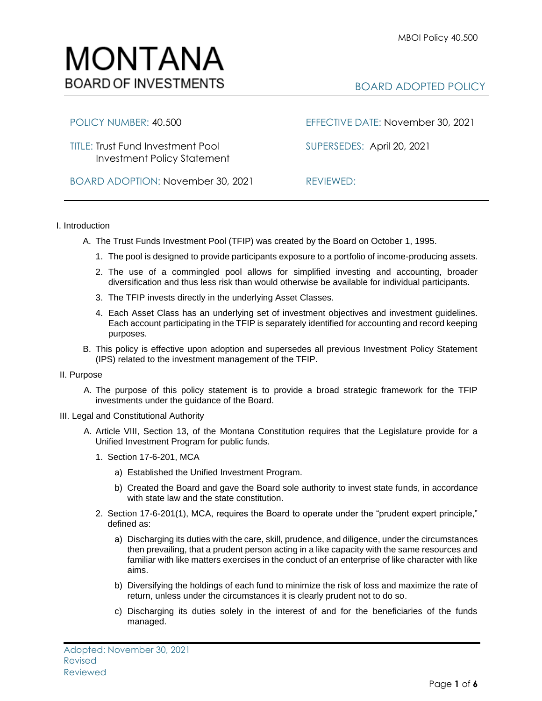

# BOARD ADOPTED POLICY

## POLICY NUMBER: 40.500 EFFECTIVE DATE: November 30, 2021

TITLE: Trust Fund Investment Pool SUPERSEDES:April 20, 2021 Investment Policy Statement

BOARD ADOPTION: November 30, 2021 REVIEWED:

### I. Introduction

- A. The Trust Funds Investment Pool (TFIP) was created by the Board on October 1, 1995.
	- 1. The pool is designed to provide participants exposure to a portfolio of income-producing assets.
	- 2. The use of a commingled pool allows for simplified investing and accounting, broader diversification and thus less risk than would otherwise be available for individual participants.
	- 3. The TFIP invests directly in the underlying Asset Classes.
	- 4. Each Asset Class has an underlying set of investment objectives and investment guidelines. Each account participating in the TFIP is separately identified for accounting and record keeping purposes.
- B. This policy is effective upon adoption and supersedes all previous Investment Policy Statement (IPS) related to the investment management of the TFIP.

#### II. Purpose

- A. The purpose of this policy statement is to provide a broad strategic framework for the TFIP investments under the guidance of the Board.
- III. Legal and Constitutional Authority
	- A. Article VIII, Section 13, of the Montana Constitution requires that the Legislature provide for a Unified Investment Program for public funds.
		- 1. Section 17-6-201, MCA
			- a) Established the Unified Investment Program.
			- b) Created the Board and gave the Board sole authority to invest state funds, in accordance with state law and the state constitution.
		- 2. Section 17-6-201(1), MCA, requires the Board to operate under the "prudent expert principle," defined as:
			- a) Discharging its duties with the care, skill, prudence, and diligence, under the circumstances then prevailing, that a prudent person acting in a like capacity with the same resources and familiar with like matters exercises in the conduct of an enterprise of like character with like aims.
			- b) Diversifying the holdings of each fund to minimize the risk of loss and maximize the rate of return, unless under the circumstances it is clearly prudent not to do so.
			- c) Discharging its duties solely in the interest of and for the beneficiaries of the funds managed.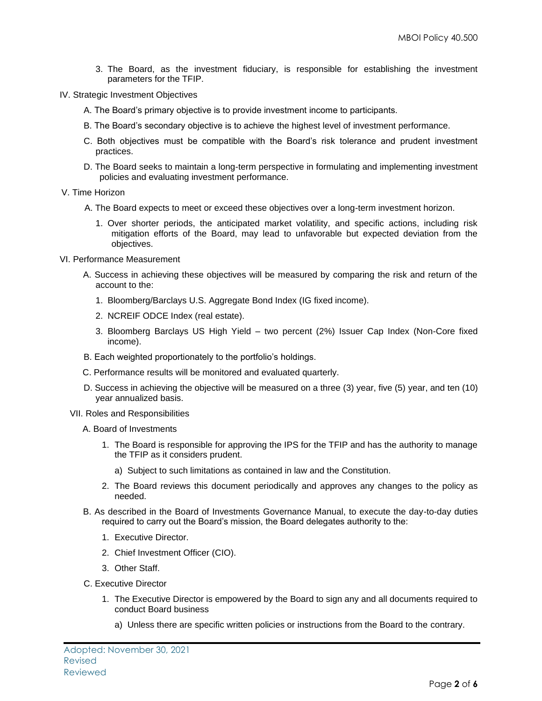- 3. The Board, as the investment fiduciary, is responsible for establishing the investment parameters for the TFIP.
- IV. Strategic Investment Objectives
	- A. The Board's primary objective is to provide investment income to participants.
	- B. The Board's secondary objective is to achieve the highest level of investment performance.
	- C. Both objectives must be compatible with the Board's risk tolerance and prudent investment practices.
	- D. The Board seeks to maintain a long-term perspective in formulating and implementing investment policies and evaluating investment performance.
- V. Time Horizon
	- A. The Board expects to meet or exceed these objectives over a long-term investment horizon.
		- 1. Over shorter periods, the anticipated market volatility, and specific actions, including risk mitigation efforts of the Board, may lead to unfavorable but expected deviation from the objectives.
- VI. Performance Measurement
	- A. Success in achieving these objectives will be measured by comparing the risk and return of the account to the:
		- 1. Bloomberg/Barclays U.S. Aggregate Bond Index (IG fixed income).
		- 2. NCREIF ODCE Index (real estate).
		- 3. Bloomberg Barclays US High Yield two percent (2%) Issuer Cap Index (Non-Core fixed income).
	- B. Each weighted proportionately to the portfolio's holdings.
	- C. Performance results will be monitored and evaluated quarterly.
	- D. Success in achieving the objective will be measured on a three (3) year, five (5) year, and ten (10) year annualized basis.
	- VII. Roles and Responsibilities
		- A. Board of Investments
			- 1. The Board is responsible for approving the IPS for the TFIP and has the authority to manage the TFIP as it considers prudent.
				- a) Subject to such limitations as contained in law and the Constitution.
			- 2. The Board reviews this document periodically and approves any changes to the policy as needed.
		- B. As described in the Board of Investments Governance Manual, to execute the day-to-day duties required to carry out the Board's mission, the Board delegates authority to the:
			- 1. Executive Director.
			- 2. Chief Investment Officer (CIO).
			- 3. Other Staff.
		- C. Executive Director
			- 1. The Executive Director is empowered by the Board to sign any and all documents required to conduct Board business
				- a) Unless there are specific written policies or instructions from the Board to the contrary.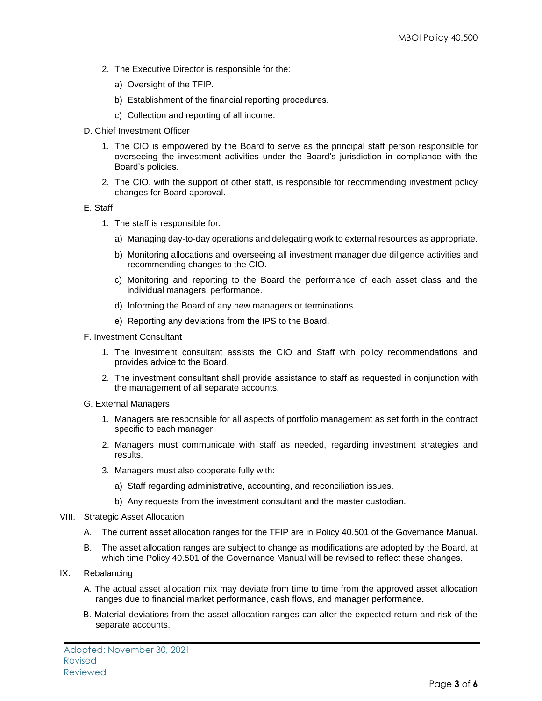- 2. The Executive Director is responsible for the:
	- a) Oversight of the TFIP.
	- b) Establishment of the financial reporting procedures.
	- c) Collection and reporting of all income.
- D. Chief Investment Officer
	- 1. The CIO is empowered by the Board to serve as the principal staff person responsible for overseeing the investment activities under the Board's jurisdiction in compliance with the Board's policies.
	- 2. The CIO, with the support of other staff, is responsible for recommending investment policy changes for Board approval.

#### E. Staff

- 1. The staff is responsible for:
	- a) Managing day-to-day operations and delegating work to external resources as appropriate.
	- b) Monitoring allocations and overseeing all investment manager due diligence activities and recommending changes to the CIO.
	- c) Monitoring and reporting to the Board the performance of each asset class and the individual managers' performance.
	- d) Informing the Board of any new managers or terminations.
	- e) Reporting any deviations from the IPS to the Board.
- F. Investment Consultant
	- 1. The investment consultant assists the CIO and Staff with policy recommendations and provides advice to the Board.
	- 2. The investment consultant shall provide assistance to staff as requested in conjunction with the management of all separate accounts.
- G. External Managers
	- 1. Managers are responsible for all aspects of portfolio management as set forth in the contract specific to each manager.
	- 2. Managers must communicate with staff as needed, regarding investment strategies and results.
	- 3. Managers must also cooperate fully with:
		- a) Staff regarding administrative, accounting, and reconciliation issues.
		- b) Any requests from the investment consultant and the master custodian.
- VIII. Strategic Asset Allocation
	- A. The current asset allocation ranges for the TFIP are in Policy 40.501 of the Governance Manual.
	- B. The asset allocation ranges are subject to change as modifications are adopted by the Board, at which time Policy 40.501 of the Governance Manual will be revised to reflect these changes.
- IX. Rebalancing
	- A. The actual asset allocation mix may deviate from time to time from the approved asset allocation ranges due to financial market performance, cash flows, and manager performance.
	- B. Material deviations from the asset allocation ranges can alter the expected return and risk of the separate accounts.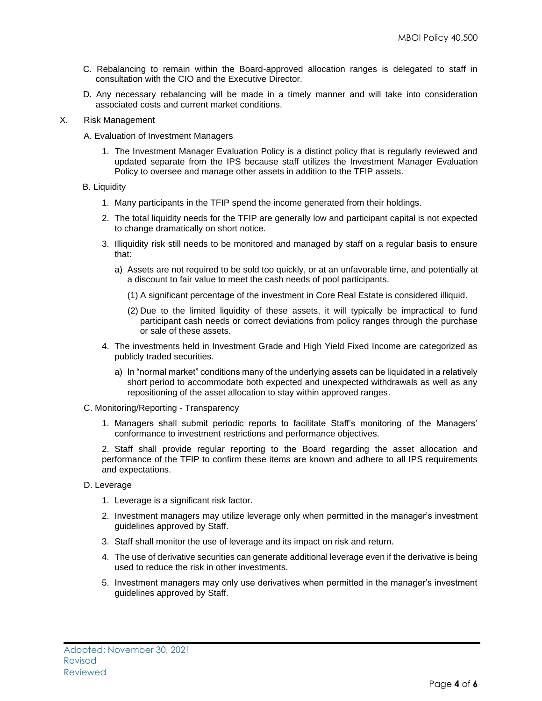- C. Rebalancing to remain within the Board-approved allocation ranges is delegated to staff in consultation with the CIO and the Executive Director.
- D. Any necessary rebalancing will be made in a timely manner and will take into consideration associated costs and current market conditions.
- X. Risk Management
	- A. Evaluation of Investment Managers
		- 1. The Investment Manager Evaluation Policy is a distinct policy that is regularly reviewed and updated separate from the IPS because staff utilizes the Investment Manager Evaluation Policy to oversee and manage other assets in addition to the TFIP assets.

#### B. Liquidity

- 1. Many participants in the TFIP spend the income generated from their holdings.
- 2. The total liquidity needs for the TFIP are generally low and participant capital is not expected to change dramatically on short notice.
- 3. Illiquidity risk still needs to be monitored and managed by staff on a regular basis to ensure that:
	- a) Assets are not required to be sold too quickly, or at an unfavorable time, and potentially at a discount to fair value to meet the cash needs of pool participants.
		- (1) A significant percentage of the investment in Core Real Estate is considered illiquid.
		- (2) Due to the limited liquidity of these assets, it will typically be impractical to fund participant cash needs or correct deviations from policy ranges through the purchase or sale of these assets.
- 4. The investments held in Investment Grade and High Yield Fixed Income are categorized as publicly traded securities.
	- a) In "normal market" conditions many of the underlying assets can be liquidated in a relatively short period to accommodate both expected and unexpected withdrawals as well as any repositioning of the asset allocation to stay within approved ranges.
- C. Monitoring/Reporting Transparency
	- 1. Managers shall submit periodic reports to facilitate Staff's monitoring of the Managers' conformance to investment restrictions and performance objectives.

2. Staff shall provide regular reporting to the Board regarding the asset allocation and performance of the TFIP to confirm these items are known and adhere to all IPS requirements and expectations.

- D. Leverage
	- 1. Leverage is a significant risk factor.
	- 2. Investment managers may utilize leverage only when permitted in the manager's investment guidelines approved by Staff.
	- 3. Staff shall monitor the use of leverage and its impact on risk and return.
	- 4. The use of derivative securities can generate additional leverage even if the derivative is being used to reduce the risk in other investments.
	- 5. Investment managers may only use derivatives when permitted in the manager's investment guidelines approved by Staff.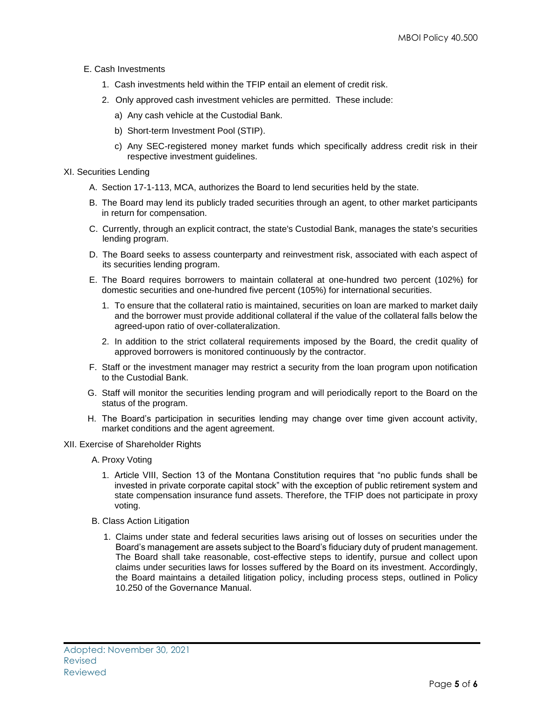- E. Cash Investments
	- 1. Cash investments held within the TFIP entail an element of credit risk.
	- 2. Only approved cash investment vehicles are permitted. These include:
		- a) Any cash vehicle at the Custodial Bank.
		- b) Short-term Investment Pool (STIP).
		- c) Any SEC-registered money market funds which specifically address credit risk in their respective investment guidelines.
- XI. Securities Lending
	- A. Section 17-1-113, MCA, authorizes the Board to lend securities held by the state.
	- B. The Board may lend its publicly traded securities through an agent, to other market participants in return for compensation.
	- C. Currently, through an explicit contract, the state's Custodial Bank, manages the state's securities lending program.
	- D. The Board seeks to assess counterparty and reinvestment risk, associated with each aspect of its securities lending program.
	- E. The Board requires borrowers to maintain collateral at one-hundred two percent (102%) for domestic securities and one-hundred five percent (105%) for international securities.
		- 1. To ensure that the collateral ratio is maintained, securities on loan are marked to market daily and the borrower must provide additional collateral if the value of the collateral falls below the agreed-upon ratio of over-collateralization.
		- 2. In addition to the strict collateral requirements imposed by the Board, the credit quality of approved borrowers is monitored continuously by the contractor.
	- F. Staff or the investment manager may restrict a security from the loan program upon notification to the Custodial Bank.
	- G. Staff will monitor the securities lending program and will periodically report to the Board on the status of the program.
	- H. The Board's participation in securities lending may change over time given account activity, market conditions and the agent agreement.
- XII. Exercise of Shareholder Rights
	- A. Proxy Voting
		- 1. Article VIII, Section 13 of the Montana Constitution requires that "no public funds shall be invested in private corporate capital stock" with the exception of public retirement system and state compensation insurance fund assets. Therefore, the TFIP does not participate in proxy voting.
	- B. Class Action Litigation
		- 1. Claims under state and federal securities laws arising out of losses on securities under the Board's management are assets subject to the Board's fiduciary duty of prudent management. The Board shall take reasonable, cost-effective steps to identify, pursue and collect upon claims under securities laws for losses suffered by the Board on its investment. Accordingly, the Board maintains a detailed litigation policy, including process steps, outlined in Policy 10.250 of the Governance Manual.